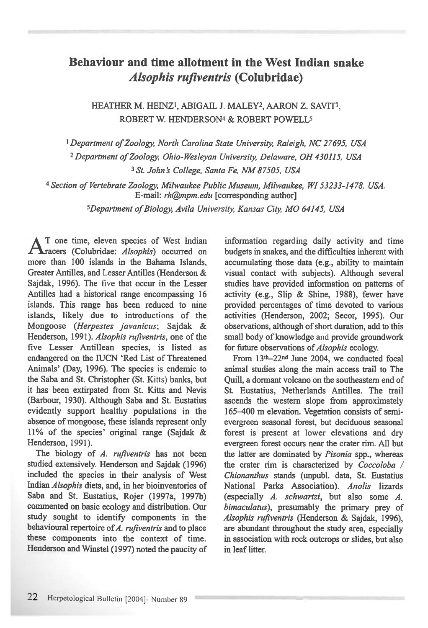## **Behaviour and time allotment in the West Indian snake**  *Alsophis rufiventris* **(Colubridae)**

HEATHER M. HEINZ<sup>1</sup>, ABIGAIL J. MALEY<sup>2</sup>, AARON Z. SAVIT<sup>3</sup>, ROBERT W. HENDERSON4& ROBERT POWELL5

*Department of Zoology, North Carolina State University, Raleigh, NC 27695, USA <sup>2</sup>Department of Zoology, Ohio-Wesleyan University, Delaware, OH 430115, USA*  **<sup>3</sup>***St. John's College, Santa Fe, NM 87505, USA* 

**4** *Section of Vertebrate Zoology, Milwaukee Public Museum, Milwaukee, WI 53233-1478, USA. E-mail: rh@mpm.edu* [corresponding author]

*<sup>5</sup>Department of Biology, Avila University, Kansas City, MO 64145, USA* 

**A** T one time, eleven species of West Indian<br> **A** racers (Colubridae: *Alsophis*) occurred on T one time, eleven species of West Indian more than 100 islands in the Bahama Islands, Greater Antilles, and Lesser Antilles (Henderson & Sajdak, 1996). The five that occur in the Lesser Antilles had a historical range encompassing 16 islands. This range has been reduced to nine islands, likely due to introductions of the Mongoose *(Herpestes javanicus;* Sajdak & Henderson, 1991). *Alsophis rufiventris,* one of the five Lesser Antillean species, is listed as endangered on the IUCN 'Red List of Threatened Animals' (Day, 1996). The species is endemic to the Saba and St. Christopher (St. Kitts) banks, but it has been extirpated from St. Kitts and Nevis (Barbour, 1930). Although Saba and St. Eustatius evidently support healthy populations in the absence of mongoose, these islands represent only 11% of the species' original range (Sajdak & Henderson, 1991).

The biology of *A. rufiventris* has not been studied extensively. Henderson and Sajdak (1996) included the species in their analysis of West Indian *Alsophis* diets, and, in her bioinventories of Saba and St. Eustatius, Rojer (1997a, 1997b) commented on basic ecology and distribution. Our study sought to identify components in the behavioural repertoire of *A. rufiventris* and to place these components into the context of time. Henderson and Winstel (1997) noted the paucity of information regarding daily activity and time budgets in snakes, and the difficulties inherent with accumulating those data (e.g., ability to maintain visual contact with subjects). Although several studies have provided information on patterns of activity (e.g., Slip & Shine, 1988), fewer have provided percentages of time devoted to various activities (Henderson, 2002; Secor, 1995). Our observations, although of short duration, add to this small body of knowledge and provide groundwork for future observations of *Alsophis* ecology.

From 13'h-22nd June 2004, we conducted focal animal studies along the main access trail to The Quill, a dormant volcano on the southeastern end of St. Eustatius, Netherlands Antilles. The trail ascends the western slope from approximately 165-400 m elevation. Vegetation consists of semievergreen seasonal forest, but deciduous seasonal forest is present at lower elevations and dry evergreen forest occurs near the crater rim. All but the latter are dominated by *Pisonia* spp., whereas the crater rim is characterized by *Coccoloba / Chionanthus* stands (unpubl. data, St. Eustatius National Parks Association). *Anolis* lizards (especially *A. schwartzi,* but also some *A. bimaculatus),* presumably the primary prey of *Alsophis rufiventris* (Henderson & Sajdak, 1996), are abundant throughout the study area, especially in association with rock outcrops or slides, but also in leaf litter.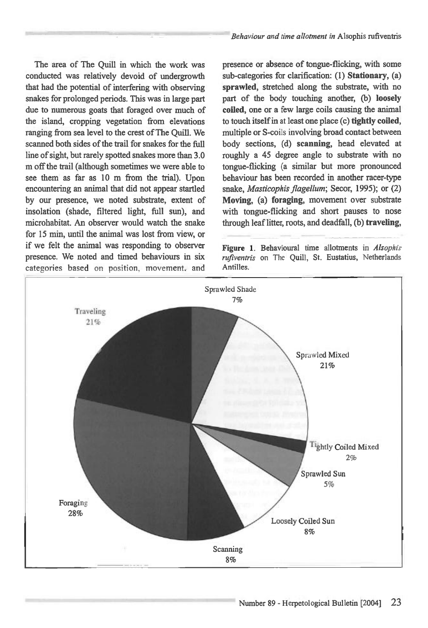The area of The Quill in which the work was conducted was relatively devoid of undergrowth that had the potential of interfering with observing snakes for prolonged periods. This was in large part due to numerous goats that foraged over much of the island, cropping vegetation from elevations ranging from sea level to the crest of The Quill. We scanned both sides of the trail for snakes for the full line of sight, but rarely spotted snakes more than 3.0 m off the trail (although sometimes we were able to see them as far as 10 m from the trial). Upon encountering an animal that did not appear startled by our presence, we noted substrate, extent of insolation (shade, filtered light, full sun), and microhabitat. An observer would watch the snake for 15 min, until the animal was lost from view, or if we felt the animal was responding to observer presence. We noted and timed behaviours in six categories based on position, movement, and

presence or absence of tongue-flicking, with some sub-categories for clarification: (1) **Stationary, (a) sprawled,** stretched along the substrate, with no part of the body touching another, (b) **loosely coiled,** one or a few large coils causing the animal to touch itself in at least one place (c) **tightly coiled,**  multiple or S-coils involving broad contact between body sections, (d) **scanning,** head elevated at roughly a 45 degree angle to substrate with no tongue-flicking (a similar but more pronounced behaviour has been recorded in another racer-type snake, *Masticophis flagellum;* Secor, 1995); or (2) **Moving,** (a) **foraging,** movement over substrate with tongue-flicking and short pauses to nose through leaf litter, roots, and deadfall, (b) **traveling,** 

Figure 1. Behavioural time allotments in *Alsophis rufiventris* on The Quill, St. Eustatius, Netherlands Antilles.

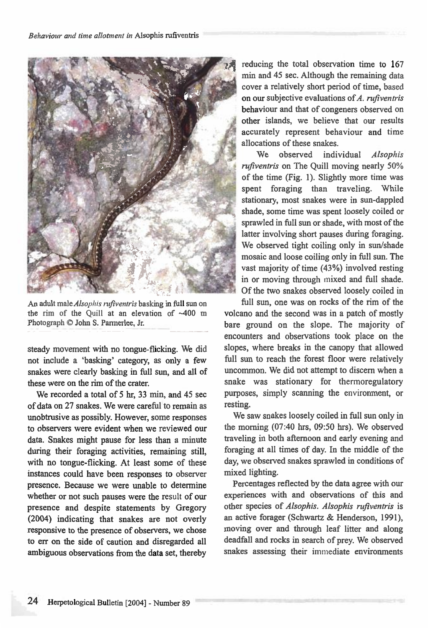

An adult male *Alsophiv rztfiventris* basking in full sun on the rim of the Quill at an elevation of —400 m Photograph © John S. Parmerlee, Jr.

steady movement with no tongue-flicking. We did not include a 'basking' category, as only a few snakes were clearly basking in full sun, and all of these were on the rim of the crater.

We recorded a total of 5 hr, 33 min, and 45 sec of data on 27 snakes. We were careful to remain as unobtrusive as possibly. However, some responses to observers were evident when we reviewed our data. Snakes might pause for less than a minute during their foraging activities, remaining still, with no tongue-flicking. At least some of these instances could have been responses to observer presence. Because we were unable to determine whether or not such pauses were the result of our presence and despite statements by Gregory (2004) indicating that snakes are not overly responsive to the presence of observers, we chose to err on the side of caution and disregarded all ambiguous observations from the data set, thereby reducing the total observation time to 167 min and 45 sec. Although the remaining data cover a relatively short period of time, based on our subjective evaluations of *A. rufiventris*  behaviour and that of congeners observed on other islands, we believe that our results accurately represent behaviour and time allocations of these snakes.

We observed individual *Alsophis rufiventris* on The Quill moving nearly 50% of the time (Fig. 1). Slightly more time was spent foraging than traveling. While stationary, most snakes were in sun-dappled shade, some time was spent loosely coiled or sprawled in full sun or shade, with most of the latter involving short pauses during foraging. We observed tight coiling only in sun/shade mosaic and loose coiling only in full sun. The vast majority of time (43%) involved resting in or moving through mixed and full shade. Of the two snakes observed loosely coiled in

full sun, one was on rocks of the rim of the volcano and the second was in a patch of mostly bare ground on the slope. The majority of encounters and observations took place on the slopes, where breaks in the canopy that allowed full sun to reach the forest floor were relatively uncommon. We did not attempt to discern when a snake was stationary for thermoregulatory purposes, simply scanning the environment, or resting.

We saw snakes loosely coiled in full sun only in the morning (07:40 hrs, 09:50 hrs). We observed traveling in both afternoon and early evening and foraging at all times of day. In the middle of the day, we observed snakes sprawled in conditions of mixed lighting.

Percentages reflected by the data agree with our experiences with and observations of this and other species of *Alsophis. Alsophis rufiventris* is an active forager (Schwartz & Henderson, 1991), moving over and through leaf litter and along deadfall and rocks in search of prey. We observed snakes assessing their immediate environments